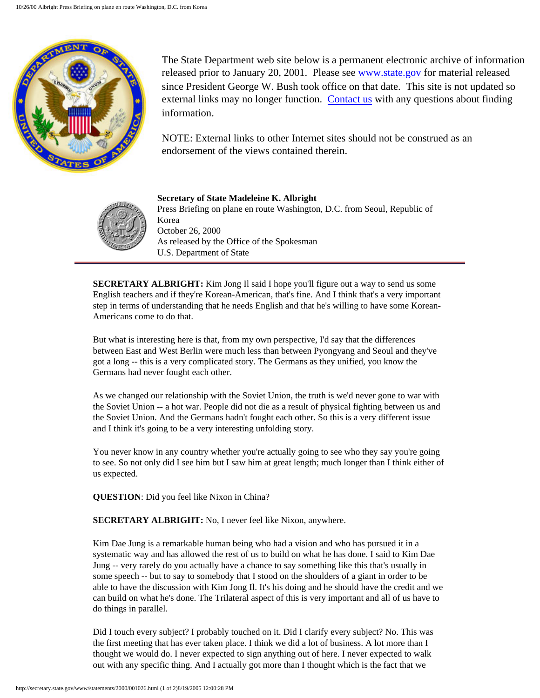

The State Department web site below is a permanent electronic archive of information released prior to January 20, 2001. Please see [www.state.gov](http://www.state.gov/) for material released since President George W. Bush took office on that date. This site is not updated so external links may no longer function. [Contact us](http://state.gov/documents/ContactUs.cfm) with any questions about finding information.

NOTE: External links to other Internet sites should not be construed as an endorsement of the views contained therein.



**Secretary of State Madeleine K. Albright** Press Briefing on plane en route Washington, D.C. from Seoul, Republic of Korea October 26, 2000 As released by the Office of the Spokesman U.S. Department of State

**SECRETARY ALBRIGHT:** Kim Jong Il said I hope you'll figure out a way to send us some English teachers and if they're Korean-American, that's fine. And I think that's a very important step in terms of understanding that he needs English and that he's willing to have some Korean-Americans come to do that.

But what is interesting here is that, from my own perspective, I'd say that the differences between East and West Berlin were much less than between Pyongyang and Seoul and they've got a long -- this is a very complicated story. The Germans as they unified, you know the Germans had never fought each other.

As we changed our relationship with the Soviet Union, the truth is we'd never gone to war with the Soviet Union -- a hot war. People did not die as a result of physical fighting between us and the Soviet Union. And the Germans hadn't fought each other. So this is a very different issue and I think it's going to be a very interesting unfolding story.

You never know in any country whether you're actually going to see who they say you're going to see. So not only did I see him but I saw him at great length; much longer than I think either of us expected.

**QUESTION**: Did you feel like Nixon in China?

**SECRETARY ALBRIGHT:** No, I never feel like Nixon, anywhere.

Kim Dae Jung is a remarkable human being who had a vision and who has pursued it in a systematic way and has allowed the rest of us to build on what he has done. I said to Kim Dae Jung -- very rarely do you actually have a chance to say something like this that's usually in some speech -- but to say to somebody that I stood on the shoulders of a giant in order to be able to have the discussion with Kim Jong Il. It's his doing and he should have the credit and we can build on what he's done. The Trilateral aspect of this is very important and all of us have to do things in parallel.

Did I touch every subject? I probably touched on it. Did I clarify every subject? No. This was the first meeting that has ever taken place. I think we did a lot of business. A lot more than I thought we would do. I never expected to sign anything out of here. I never expected to walk out with any specific thing. And I actually got more than I thought which is the fact that we